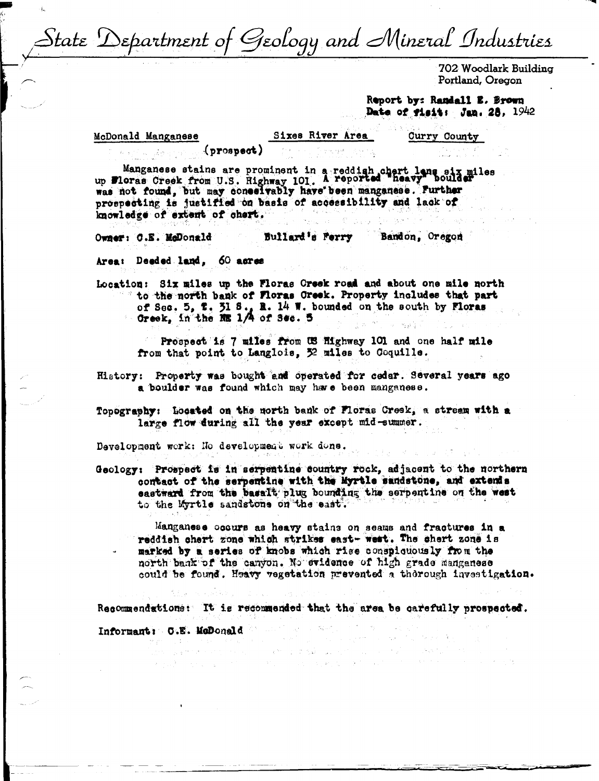State 'Department of Geology and Mineral Industries

702 Woodlark Building Portland, Oregon

Report by: Randall E. Brown Date of fisit: Jan. 28, 1942

McDonald Manganese

Sixes River Area

**Curry County** 

 $($ prospect $)$ 

Manganese stains are prominent in a reddish chart lang six miles<br>up Floras Creek from U.S. Highway 101. A reported heavy boulder

was not found, but may conselvably have been manganese. Further prospecting is justified on basis of accessibility and lack of knowledge of extent of chert.

Bullard's Ferry Owner: C.E. McDonald Bandon, Oregon

Area: Deeded land, 60 acres

Location: Six miles up the Floras Creek road and about one mile north to the north bank of Floras Creek. Property includes that part of Sec. 5, 7, 31 S., R. 14 W. bounded on the south by Floras Greek, in the NE 1/4 of Sec. 5

Prospect is 7 miles from US Highway 101 and one half mile from that point to Langlois, 32 miles to Coquille.

History: Property was bought and operated for cedar. Several years ago a boulder was found which may have been manganese.

Topography: Located on the morth bank of Floras Creek, a stream with a large flow during all the year except mid-summer.

Development work: No development work done.

Geology: Prospect is in serpentine country rock, adjacent to the northern contact of the serpentine with the Myrtle sandstone, and extends eastward from the basalt plug bounding the serpentine on the west to the Myrtle sandstone on the east.

Manganese occurs as heavy stains on seams and fractures in a reddish chert zone which strikes east- west. The shert zone is marked by a series of knobs which rise conspicuously from the north bank of the canyon. No evidence of high grade manganese could be found. Heavy vegetation prevented a therough investigation.

> .<br>กลุ่ม 1 ตุลาคม ค.ศ. 1553  $\label{eq:1} \mathcal{M}_{\text{eff}}(\mathbf{r}) = \mathcal{M}_{\text{eff}}(\mathbf{r}) = \mathcal{M}_{\text{eff}}(\mathbf{r}) = \mathcal{M}_{\text{eff}}(\mathbf{r}) = \mathcal{M}_{\text{eff}}(\mathbf{r}) = \mathcal{M}_{\text{eff}}(\mathbf{r})$

Recommendations: It is recommended that the area be carefully prospected.

Informant: C.E. McDonald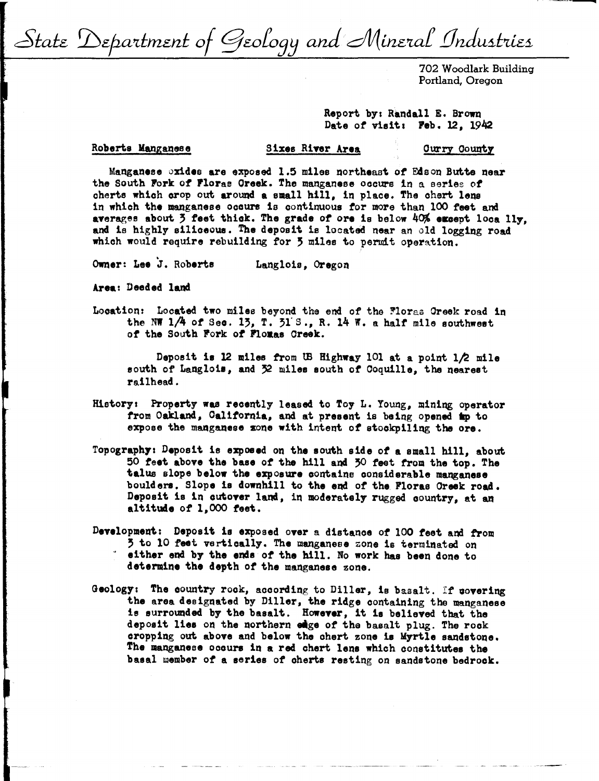State Department of Geology and Mineral Industries

702 Woodlark Building Portland, Oregon

Report by: Randall E. Brown Date of visit: **Feb. 12, 1942** 

## Roberts Manganese

## Sixes River Area **Ourry County**

Manganese oxides are exposed 1.5 miles northeast of Edson Butte near the South Pork of Plorae Oreek. The manganese occurs in a series of cherts which orop out around a small hill, in place. The chert lens in which the manganese occurs is continuous for more than 100 feet and averages about 3 feet thick. The grade of ore is below 40% except loca lly, **and** is highly siliceous. The deposit is located near an old logging road which would require rebuilding for 5 miles to permit operation.

Owner: Lee J. Roberts Langloie, Oregon

**Area:** Deeded land

Location: Located two miles beyond the end of the Floras Greek road in the NW  $1/4$  of Sec. 13, T. 31'S., R. 14 W. a half mile southwest of the South Fork of **Floras** Creek.

Deposit is 12 miles from UB Highway 101 at a point 1/2 mile south of Langlois, and 32 miles south of Coquille, the nearest railhead.

- History: Property was recently leased to Toy L. Young, mining operator from Oakland, Oaliforn1a, and at present is be 1ng opened **tap** to expose the manganese sone with intent *ot* stockpiling the ore.
- Topography: Deposit is exposed on the south side of a small hill, about 50 feet above the base of the hill and 30 feet from the top. The talus slope below the expoeve oontaine considerable **manganese**  boulders. Slope is downhill to the end of the Floras Oreek road. Deposit is in cutover land, in moderately rugged country, at an altitude of 1,000 feet.
- Development: Deposit is exposed over a distance of 100 feet and from 5 to 10 feet vertically. The manganese zone is terminated on either end by the ends of the hill. No work has been done to **determine** the depth *ot* the manganese zone.
- Geology: The oountry rook, according to Diller, is basalt. It oovering the area designated by Diller, the ridge containing the manganese ie surrounded by the basalt. **However,** it 1a believed that the deposit lies on the northern eige of the basalt plug. The rock cropping out **above** and below the chert zone ie Myrtle sandstone. The manganese occurs in a red chert lens which constitutes the basal member of a series of cherts resting on sandstone bedrock.